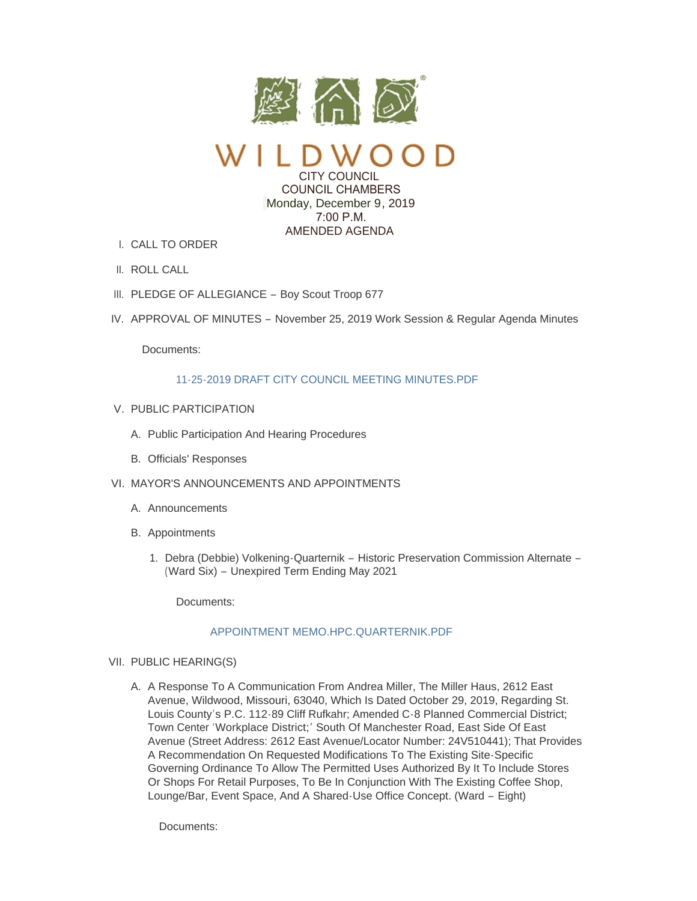

CITY COUNCIL COUNCIL CHAMBERS Monday, December 9, 2019  $7:00 \text{ P M}$ AMENDED AGENDA

- CALL TO ORDER I.
- II. ROLL CALL
- III. PLEDGE OF ALLEGIANCE Boy Scout Troop 677
- IV. APPROVAL OF MINUTES November 25, 2019 Work Session & Regular Agenda Minutes

Documents:

# [11-25-2019 DRAFT CITY COUNCIL MEETING MINUTES.PDF](https://www.cityofwildwood.com/AgendaCenter/ViewFile/Item/23343?fileID=28481)

- V. PUBLIC PARTICIPATION
	- A. Public Participation And Hearing Procedures
	- B. Officials' Responses
- VI. MAYOR'S ANNOUNCEMENTS AND APPOINTMENTS
	- A. Announcements
	- B. Appointments
		- 1. Debra (Debbie) Volkening-Quarternik Historic Preservation Commission Alternate -(Ward Six) – Unexpired Term Ending May 2021

Documents:

# [APPOINTMENT MEMO.HPC.QUARTERNIK.PDF](https://www.cityofwildwood.com/AgendaCenter/ViewFile/Item/23381?fileID=28491)

### VII. PUBLIC HEARING(S)

A. A Response To A Communication From Andrea Miller, The Miller Haus, 2612 East Avenue, Wildwood, Missouri, 63040, Which Is Dated October 29, 2019, Regarding St. Louis County's P.C. 112-89 Cliff Rufkahr; Amended C-8 Planned Commercial District; Town Center 'Workplace District;' South Of Manchester Road, East Side Of East Avenue (Street Address: 2612 East Avenue/Locator Number: 24V510441); That Provides A Recommendation On Requested Modifications To The Existing Site-Specific Governing Ordinance To Allow The Permitted Uses Authorized By It To Include Stores Or Shops For Retail Purposes, To Be In Conjunction With The Existing Coffee Shop, Lounge/Bar, Event Space, And A Shared-Use Office Concept. (Ward – Eight)

Documents: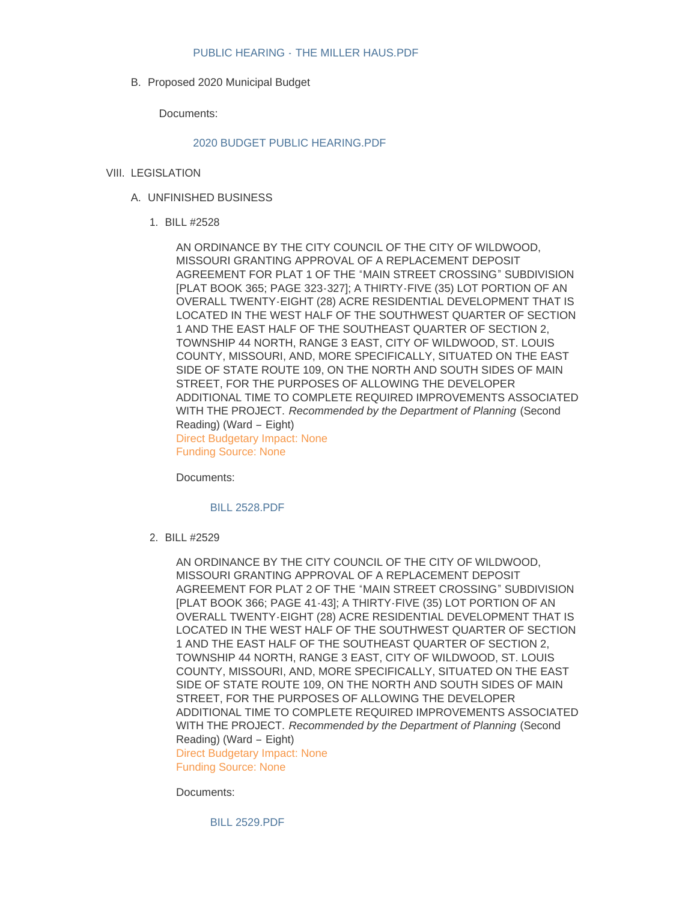B. Proposed 2020 Municipal Budget

Documents:

#### [2020 BUDGET PUBLIC HEARING.PDF](https://www.cityofwildwood.com/AgendaCenter/ViewFile/Item/23295?fileID=28439)

# VIII. LEGISLATION

- UNFINISHED BUSINESS A.
	- BILL #2528 1.

AN ORDINANCE BY THE CITY COUNCIL OF THE CITY OF WILDWOOD, MISSOURI GRANTING APPROVAL OF A REPLACEMENT DEPOSIT AGREEMENT FOR PLAT 1 OF THE "MAIN STREET CROSSING" SUBDIVISION [PLAT BOOK 365; PAGE 323-327]; A THIRTY-FIVE (35) LOT PORTION OF AN OVERALL TWENTY-EIGHT (28) ACRE RESIDENTIAL DEVELOPMENT THAT IS LOCATED IN THE WEST HALF OF THE SOUTHWEST QUARTER OF SECTION 1 AND THE EAST HALF OF THE SOUTHEAST QUARTER OF SECTION 2, TOWNSHIP 44 NORTH, RANGE 3 EAST, CITY OF WILDWOOD, ST. LOUIS COUNTY, MISSOURI, AND, MORE SPECIFICALLY, SITUATED ON THE EAST SIDE OF STATE ROUTE 109, ON THE NORTH AND SOUTH SIDES OF MAIN STREET, FOR THE PURPOSES OF ALLOWING THE DEVELOPER ADDITIONAL TIME TO COMPLETE REQUIRED IMPROVEMENTS ASSOCIATED WITH THE PROJECT. *Recommended by the Department of Planning* (Second Reading) (Ward – Eight) Direct Budgetary Impact: None Funding Source: None

Documents:

[BILL 2528.PDF](https://www.cityofwildwood.com/AgendaCenter/ViewFile/Item/23366?fileID=28467)

BILL #2529 2.

AN ORDINANCE BY THE CITY COUNCIL OF THE CITY OF WILDWOOD, MISSOURI GRANTING APPROVAL OF A REPLACEMENT DEPOSIT AGREEMENT FOR PLAT 2 OF THE "MAIN STREET CROSSING" SUBDIVISION [PLAT BOOK 366; PAGE 41-43]; A THIRTY-FIVE (35) LOT PORTION OF AN OVERALL TWENTY-EIGHT (28) ACRE RESIDENTIAL DEVELOPMENT THAT IS LOCATED IN THE WEST HALF OF THE SOUTHWEST QUARTER OF SECTION 1 AND THE EAST HALF OF THE SOUTHEAST QUARTER OF SECTION 2, TOWNSHIP 44 NORTH, RANGE 3 EAST, CITY OF WILDWOOD, ST. LOUIS COUNTY, MISSOURI, AND, MORE SPECIFICALLY, SITUATED ON THE EAST SIDE OF STATE ROUTE 109, ON THE NORTH AND SOUTH SIDES OF MAIN STREET, FOR THE PURPOSES OF ALLOWING THE DEVELOPER ADDITIONAL TIME TO COMPLETE REQUIRED IMPROVEMENTS ASSOCIATED WITH THE PROJECT. *Recommended by the Department of Planning* (Second Reading) (Ward – Eight) Direct Budgetary Impact: None

Funding Source: None

Documents:

[BILL 2529.PDF](https://www.cityofwildwood.com/AgendaCenter/ViewFile/Item/23367?fileID=28468)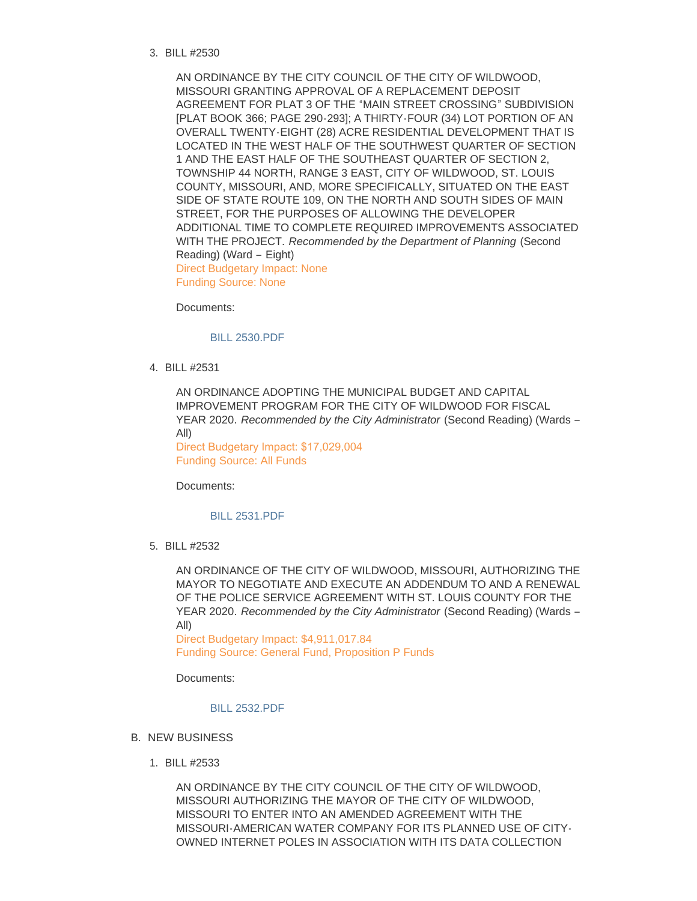BILL #2530 3.

AN ORDINANCE BY THE CITY COUNCIL OF THE CITY OF WILDWOOD, MISSOURI GRANTING APPROVAL OF A REPLACEMENT DEPOSIT AGREEMENT FOR PLAT 3 OF THE "MAIN STREET CROSSING" SUBDIVISION [PLAT BOOK 366; PAGE 290-293]; A THIRTY-FOUR (34) LOT PORTION OF AN OVERALL TWENTY-EIGHT (28) ACRE RESIDENTIAL DEVELOPMENT THAT IS LOCATED IN THE WEST HALF OF THE SOUTHWEST QUARTER OF SECTION 1 AND THE EAST HALF OF THE SOUTHEAST QUARTER OF SECTION 2, TOWNSHIP 44 NORTH, RANGE 3 EAST, CITY OF WILDWOOD, ST. LOUIS COUNTY, MISSOURI, AND, MORE SPECIFICALLY, SITUATED ON THE EAST SIDE OF STATE ROUTE 109, ON THE NORTH AND SOUTH SIDES OF MAIN STREET, FOR THE PURPOSES OF ALLOWING THE DEVELOPER ADDITIONAL TIME TO COMPLETE REQUIRED IMPROVEMENTS ASSOCIATED WITH THE PROJECT. *Recommended by the Department of Planning* (Second Reading) (Ward – Eight) Direct Budgetary Impact: None Funding Source: None

Documents:

[BILL 2530.PDF](https://www.cityofwildwood.com/AgendaCenter/ViewFile/Item/23368?fileID=28469)

BILL #2531 4.

AN ORDINANCE ADOPTING THE MUNICIPAL BUDGET AND CAPITAL IMPROVEMENT PROGRAM FOR THE CITY OF WILDWOOD FOR FISCAL YEAR 2020. *Recommended by the City Administrator* (Second Reading) (Wards – All)

Direct Budgetary Impact: \$17,029,004 Funding Source: All Funds

Documents:

#### [BILL 2531.PDF](https://www.cityofwildwood.com/AgendaCenter/ViewFile/Item/23369?fileID=28489)

BILL #2532 5.

AN ORDINANCE OF THE CITY OF WILDWOOD, MISSOURI, AUTHORIZING THE MAYOR TO NEGOTIATE AND EXECUTE AN ADDENDUM TO AND A RENEWAL OF THE POLICE SERVICE AGREEMENT WITH ST. LOUIS COUNTY FOR THE YEAR 2020. *Recommended by the City Administrator* (Second Reading) (Wards – All)

Direct Budgetary Impact: \$4,911,017.84 Funding Source: General Fund, Proposition P Funds

Documents:

#### [BILL 2532.PDF](https://www.cityofwildwood.com/AgendaCenter/ViewFile/Item/23370?fileID=28471)

- **B. NEW BUSINESS** 
	- BILL #2533 1.

AN ORDINANCE BY THE CITY COUNCIL OF THE CITY OF WILDWOOD, MISSOURI AUTHORIZING THE MAYOR OF THE CITY OF WILDWOOD, MISSOURI TO ENTER INTO AN AMENDED AGREEMENT WITH THE MISSOURI-AMERICAN WATER COMPANY FOR ITS PLANNED USE OF CITY-OWNED INTERNET POLES IN ASSOCIATION WITH ITS DATA COLLECTION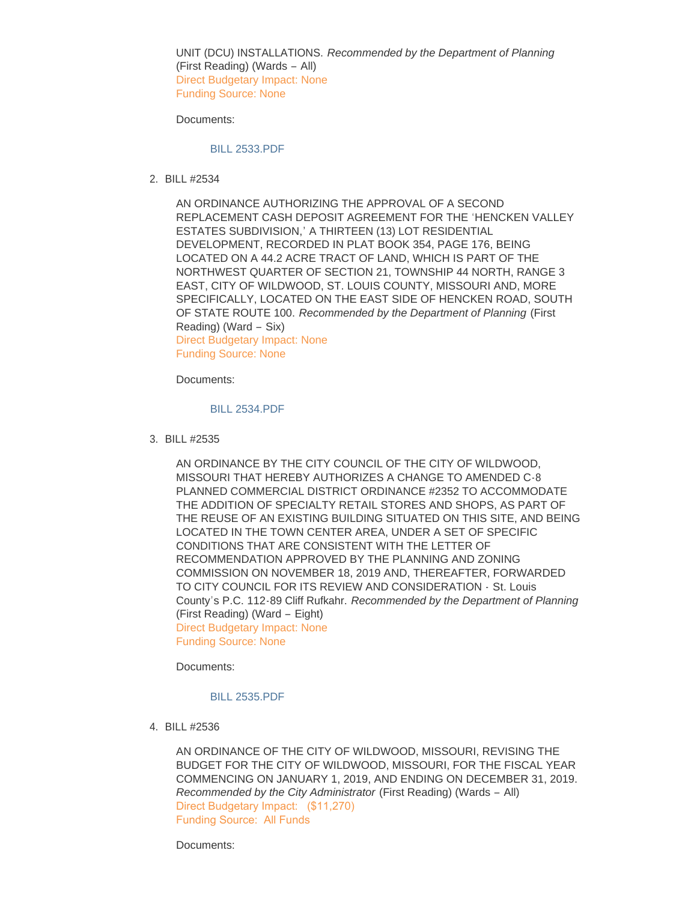UNIT (DCU) INSTALLATIONS. *Recommended by the Department of Planning*  (First Reading) (Wards – All) Direct Budgetary Impact: None Funding Source: None

Documents:

#### [BILL 2533.PDF](https://www.cityofwildwood.com/AgendaCenter/ViewFile/Item/23298?fileID=28445)

BILL #2534 2.

AN ORDINANCE AUTHORIZING THE APPROVAL OF A SECOND REPLACEMENT CASH DEPOSIT AGREEMENT FOR THE 'HENCKEN VALLEY ESTATES SUBDIVISION,' A THIRTEEN (13) LOT RESIDENTIAL DEVELOPMENT, RECORDED IN PLAT BOOK 354, PAGE 176, BEING LOCATED ON A 44.2 ACRE TRACT OF LAND, WHICH IS PART OF THE NORTHWEST QUARTER OF SECTION 21, TOWNSHIP 44 NORTH, RANGE 3 EAST, CITY OF WILDWOOD, ST. LOUIS COUNTY, MISSOURI AND, MORE SPECIFICALLY, LOCATED ON THE EAST SIDE OF HENCKEN ROAD, SOUTH OF STATE ROUTE 100. *Recommended by the Department of Planning* (First Reading) (Ward – Six) Direct Budgetary Impact: None Funding Source: None

Documents:

### [BILL 2534.PDF](https://www.cityofwildwood.com/AgendaCenter/ViewFile/Item/23386?fileID=28483)

BILL #2535 3.

AN ORDINANCE BY THE CITY COUNCIL OF THE CITY OF WILDWOOD, MISSOURI THAT HEREBY AUTHORIZES A CHANGE TO AMENDED C-8 PLANNED COMMERCIAL DISTRICT ORDINANCE #2352 TO ACCOMMODATE THE ADDITION OF SPECIALTY RETAIL STORES AND SHOPS, AS PART OF THE REUSE OF AN EXISTING BUILDING SITUATED ON THIS SITE, AND BEING LOCATED IN THE TOWN CENTER AREA, UNDER A SET OF SPECIFIC CONDITIONS THAT ARE CONSISTENT WITH THE LETTER OF RECOMMENDATION APPROVED BY THE PLANNING AND ZONING COMMISSION ON NOVEMBER 18, 2019 AND, THEREAFTER, FORWARDED TO CITY COUNCIL FOR ITS REVIEW AND CONSIDERATION - St. Louis County's P.C. 112-89 Cliff Rufkahr. *Recommended by the Department of Planning*  (First Reading) (Ward – Eight) Direct Budgetary Impact: None

Funding Source: None

Documents:

# [BILL 2535.PDF](https://www.cityofwildwood.com/AgendaCenter/ViewFile/Item/23304?fileID=28452)

BILL #2536 4.

AN ORDINANCE OF THE CITY OF WILDWOOD, MISSOURI, REVISING THE BUDGET FOR THE CITY OF WILDWOOD, MISSOURI, FOR THE FISCAL YEAR COMMENCING ON JANUARY 1, 2019, AND ENDING ON DECEMBER 31, 2019. *Recommended by the City Administrator* (First Reading) (Wards – All) Direct Budgetary Impact: (\$11,270) Funding Source: All Funds

Documents: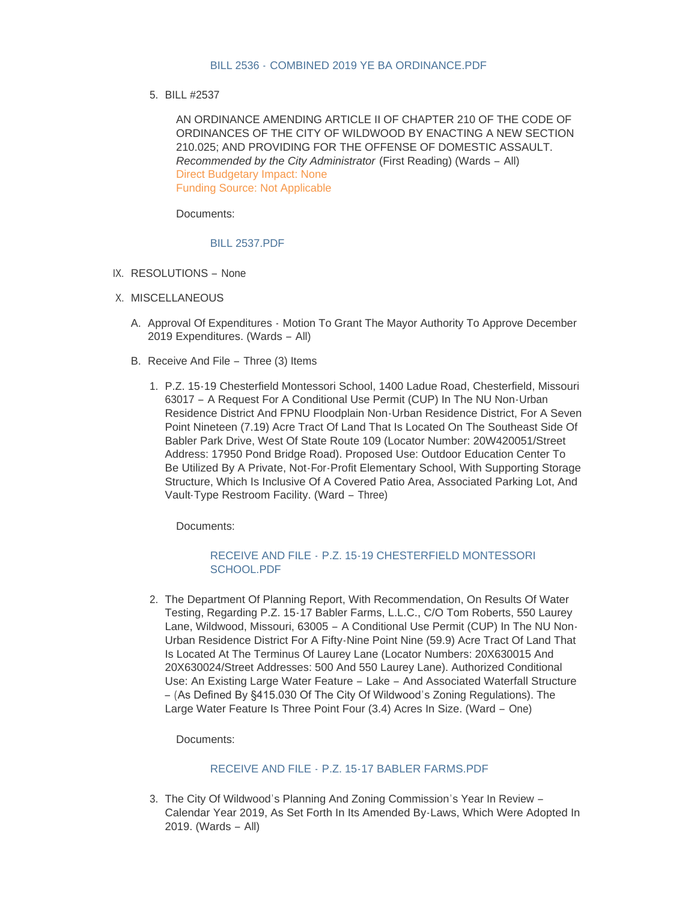## BILL 2536 - [COMBINED 2019 YE BA ORDINANCE.PDF](https://www.cityofwildwood.com/AgendaCenter/ViewFile/Item/23382?fileID=28478)

BILL #2537 5.

AN ORDINANCE AMENDING ARTICLE II OF CHAPTER 210 OF THE CODE OF ORDINANCES OF THE CITY OF WILDWOOD BY ENACTING A NEW SECTION 210.025; AND PROVIDING FOR THE OFFENSE OF DOMESTIC ASSAULT. *Recommended by the City Administrator* (First Reading) (Wards – All) Direct Budgetary Impact: None Funding Source: Not Applicable

Documents:

## [BILL 2537.PDF](https://www.cityofwildwood.com/AgendaCenter/ViewFile/Item/23383?fileID=28480)

- IX. RESOLUTIONS None
- X. MISCELLANEOUS
	- A. Approval Of Expenditures Motion To Grant The Mayor Authority To Approve December 2019 Expenditures. (Wards – All)
	- B. Receive And File Three (3) Items
		- P.Z. 15-19 Chesterfield Montessori School, 1400 Ladue Road, Chesterfield, Missouri 1. 63017 – A Request For A Conditional Use Permit (CUP) In The NU Non-Urban Residence District And FPNU Floodplain Non-Urban Residence District, For A Seven Point Nineteen (7.19) Acre Tract Of Land That Is Located On The Southeast Side Of Babler Park Drive, West Of State Route 109 (Locator Number: 20W420051/Street Address: 17950 Pond Bridge Road). Proposed Use: Outdoor Education Center To Be Utilized By A Private, Not-For-Profit Elementary School, With Supporting Storage Structure, Which Is Inclusive Of A Covered Patio Area, Associated Parking Lot, And Vault-Type Restroom Facility. (Ward – Three)

Documents:

# RECEIVE AND FILE - [P.Z. 15-19 CHESTERFIELD MONTESSORI](https://www.cityofwildwood.com/AgendaCenter/ViewFile/Item/23299?fileID=28446)  SCHOOL.PDF

2. The Department Of Planning Report, With Recommendation, On Results Of Water Testing, Regarding P.Z. 15-17 Babler Farms, L.L.C., C/O Tom Roberts, 550 Laurey Lane, Wildwood, Missouri, 63005 – A Conditional Use Permit (CUP) In The NU Non-Urban Residence District For A Fifty-Nine Point Nine (59.9) Acre Tract Of Land That Is Located At The Terminus Of Laurey Lane (Locator Numbers: 20X630015 And 20X630024/Street Addresses: 500 And 550 Laurey Lane). Authorized Conditional Use: An Existing Large Water Feature – Lake – And Associated Waterfall Structure – (As Defined By §415.030 Of The City Of Wildwood's Zoning Regulations). The Large Water Feature Is Three Point Four (3.4) Acres In Size. (Ward – One)

Documents:

# RECEIVE AND FILE - [P.Z. 15-17 BABLER FARMS.PDF](https://www.cityofwildwood.com/AgendaCenter/ViewFile/Item/23307?fileID=28455)

3. The City Of Wildwood's Planning And Zoning Commission's Year In Review -Calendar Year 2019, As Set Forth In Its Amended By-Laws, Which Were Adopted In 2019. (Wards – All)